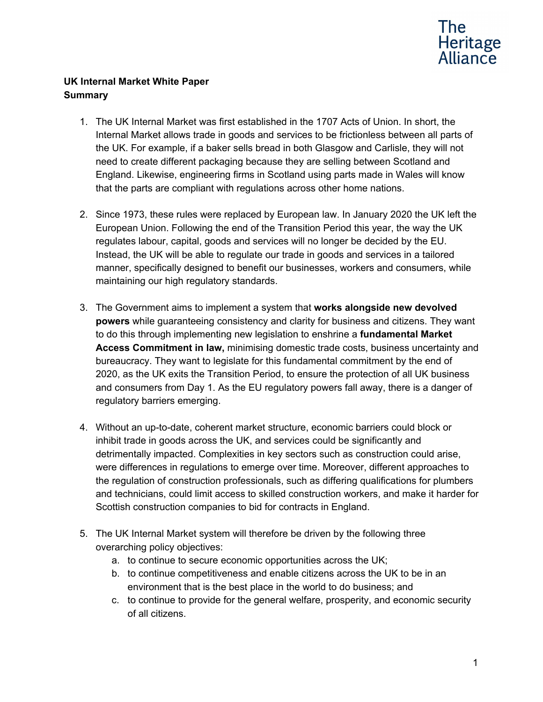

# **UK Internal Market White Paper Summary**

- 1. The UK Internal Market was first established in the 1707 Acts of Union. In short, the Internal Market allows trade in goods and services to be frictionless between all parts of the UK. For example, if a baker sells bread in both Glasgow and Carlisle, they will not need to create different packaging because they are selling between Scotland and England. Likewise, engineering firms in Scotland using parts made in Wales will know that the parts are compliant with regulations across other home nations.
- 2. Since 1973, these rules were replaced by European law. In January 2020 the UK left the European Union. Following the end of the Transition Period this year, the way the UK regulates labour, capital, goods and services will no longer be decided by the EU. Instead, the UK will be able to regulate our trade in goods and services in a tailored manner, specifically designed to benefit our businesses, workers and consumers, while maintaining our high regulatory standards.
- 3. The Government aims to implement a system that **works alongside new devolved powers** while guaranteeing consistency and clarity for business and citizens. They want to do this through implementing new legislation to enshrine a **fundamental Market Access Commitment in law,** minimising domestic trade costs, business uncertainty and bureaucracy. They want to legislate for this fundamental commitment by the end of 2020, as the UK exits the Transition Period, to ensure the protection of all UK business and consumers from Day 1. As the EU regulatory powers fall away, there is a danger of regulatory barriers emerging.
- 4. Without an up-to-date, coherent market structure, economic barriers could block or inhibit trade in goods across the UK, and services could be significantly and detrimentally impacted. Complexities in key sectors such as construction could arise, were differences in regulations to emerge over time. Moreover, different approaches to the regulation of construction professionals, such as differing qualifications for plumbers and technicians, could limit access to skilled construction workers, and make it harder for Scottish construction companies to bid for contracts in England.
- 5. The UK Internal Market system will therefore be driven by the following three overarching policy objectives:
	- a. to continue to secure economic opportunities across the UK;
	- b. to continue competitiveness and enable citizens across the UK to be in an environment that is the best place in the world to do business; and
	- c. to continue to provide for the general welfare, prosperity, and economic security of all citizens.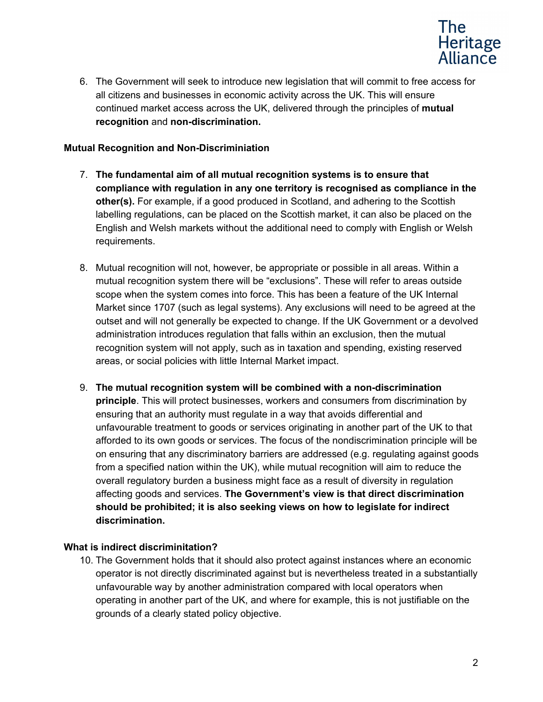

6. The Government will seek to introduce new legislation that will commit to free access for all citizens and businesses in economic activity across the UK. This will ensure continued market access across the UK, delivered through the principles of **mutual recognition** and **non-discrimination.**

## **Mutual Recognition and Non-Discriminiation**

- 7. **The fundamental aim of all mutual recognition systems is to ensure that compliance with regulation in any one territory is recognised as compliance in the other(s).** For example, if a good produced in Scotland, and adhering to the Scottish labelling regulations, can be placed on the Scottish market, it can also be placed on the English and Welsh markets without the additional need to comply with English or Welsh requirements.
- 8. Mutual recognition will not, however, be appropriate or possible in all areas. Within a mutual recognition system there will be "exclusions". These will refer to areas outside scope when the system comes into force. This has been a feature of the UK Internal Market since 1707 (such as legal systems). Any exclusions will need to be agreed at the outset and will not generally be expected to change. If the UK Government or a devolved administration introduces regulation that falls within an exclusion, then the mutual recognition system will not apply, such as in taxation and spending, existing reserved areas, or social policies with little Internal Market impact.
- 9. **The mutual recognition system will be combined with a non-discrimination principle**. This will protect businesses, workers and consumers from discrimination by ensuring that an authority must regulate in a way that avoids differential and unfavourable treatment to goods or services originating in another part of the UK to that afforded to its own goods or services. The focus of the nondiscrimination principle will be on ensuring that any discriminatory barriers are addressed (e.g. regulating against goods from a specified nation within the UK), while mutual recognition will aim to reduce the overall regulatory burden a business might face as a result of diversity in regulation affecting goods and services. **The Government's view is that direct discrimination should be prohibited; it is also seeking views on how to legislate for indirect discrimination.**

## **What is indirect discriminitation?**

10. The Government holds that it should also protect against instances where an economic operator is not directly discriminated against but is nevertheless treated in a substantially unfavourable way by another administration compared with local operators when operating in another part of the UK, and where for example, this is not justifiable on the grounds of a clearly stated policy objective.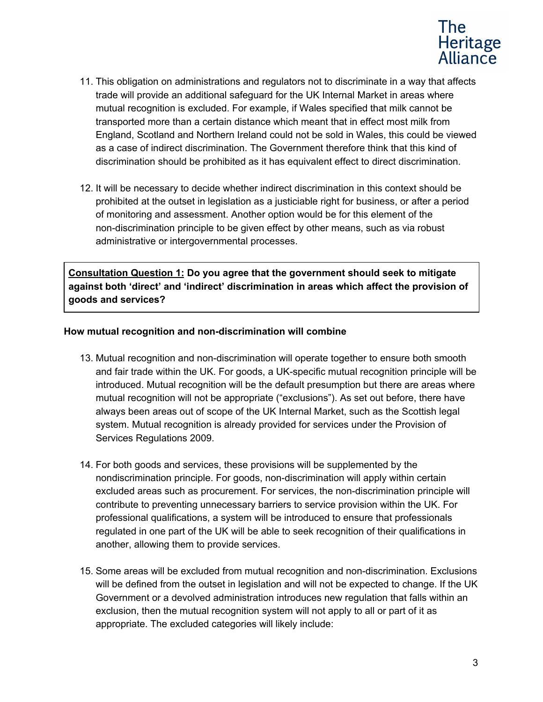

- 11. This obligation on administrations and regulators not to discriminate in a way that affects trade will provide an additional safeguard for the UK Internal Market in areas where mutual recognition is excluded. For example, if Wales specified that milk cannot be transported more than a certain distance which meant that in effect most milk from England, Scotland and Northern Ireland could not be sold in Wales, this could be viewed as a case of indirect discrimination. The Government therefore think that this kind of discrimination should be prohibited as it has equivalent effect to direct discrimination.
- 12. It will be necessary to decide whether indirect discrimination in this context should be prohibited at the outset in legislation as a justiciable right for business, or after a period of monitoring and assessment. Another option would be for this element of the non-discrimination principle to be given effect by other means, such as via robust administrative or intergovernmental processes.

**Consultation Question 1: Do you agree that the government should seek to mitigate against both 'direct' and 'indirect' discrimination in areas which affect the provision of goods and services?**

### **How mutual recognition and non-discrimination will combine**

- 13. Mutual recognition and non-discrimination will operate together to ensure both smooth and fair trade within the UK. For goods, a UK-specific mutual recognition principle will be introduced. Mutual recognition will be the default presumption but there are areas where mutual recognition will not be appropriate ("exclusions"). As set out before, there have always been areas out of scope of the UK Internal Market, such as the Scottish legal system. Mutual recognition is already provided for services under the Provision of Services Regulations 2009.
- 14. For both goods and services, these provisions will be supplemented by the nondiscrimination principle. For goods, non-discrimination will apply within certain excluded areas such as procurement. For services, the non-discrimination principle will contribute to preventing unnecessary barriers to service provision within the UK. For professional qualifications, a system will be introduced to ensure that professionals regulated in one part of the UK will be able to seek recognition of their qualifications in another, allowing them to provide services.
- 15. Some areas will be excluded from mutual recognition and non-discrimination. Exclusions will be defined from the outset in legislation and will not be expected to change. If the UK Government or a devolved administration introduces new regulation that falls within an exclusion, then the mutual recognition system will not apply to all or part of it as appropriate. The excluded categories will likely include: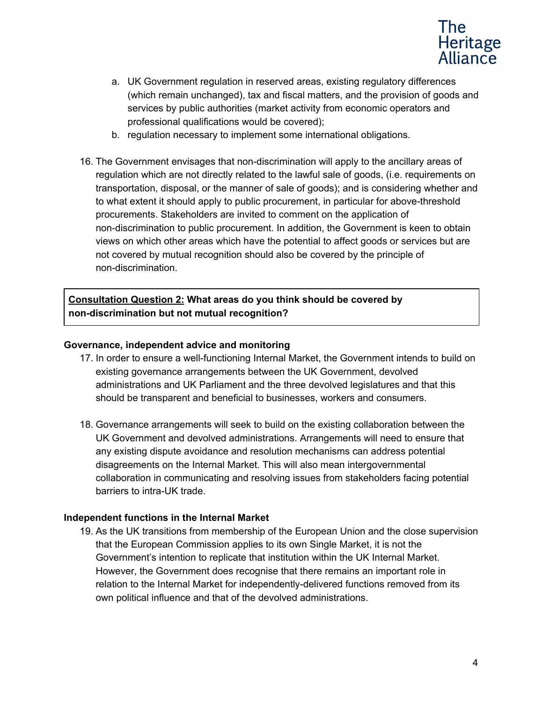

- a. UK Government regulation in reserved areas, existing regulatory differences (which remain unchanged), tax and fiscal matters, and the provision of goods and services by public authorities (market activity from economic operators and professional qualifications would be covered);
- b. regulation necessary to implement some international obligations.
- 16. The Government envisages that non-discrimination will apply to the ancillary areas of regulation which are not directly related to the lawful sale of goods, (i.e. requirements on transportation, disposal, or the manner of sale of goods); and is considering whether and to what extent it should apply to public procurement, in particular for above-threshold procurements. Stakeholders are invited to comment on the application of non-discrimination to public procurement. In addition, the Government is keen to obtain views on which other areas which have the potential to affect goods or services but are not covered by mutual recognition should also be covered by the principle of non-discrimination.

**Consultation Question 2: What areas do you think should be covered by non-discrimination but not mutual recognition?**

#### **Governance, independent advice and monitoring**

- 17. In order to ensure a well-functioning Internal Market, the Government intends to build on existing governance arrangements between the UK Government, devolved administrations and UK Parliament and the three devolved legislatures and that this should be transparent and beneficial to businesses, workers and consumers.
- 18. Governance arrangements will seek to build on the existing collaboration between the UK Government and devolved administrations. Arrangements will need to ensure that any existing dispute avoidance and resolution mechanisms can address potential disagreements on the Internal Market. This will also mean intergovernmental collaboration in communicating and resolving issues from stakeholders facing potential barriers to intra-UK trade.

#### **Independent functions in the Internal Market**

19. As the UK transitions from membership of the European Union and the close supervision that the European Commission applies to its own Single Market, it is not the Government's intention to replicate that institution within the UK Internal Market. However, the Government does recognise that there remains an important role in relation to the Internal Market for independently-delivered functions removed from its own political influence and that of the devolved administrations.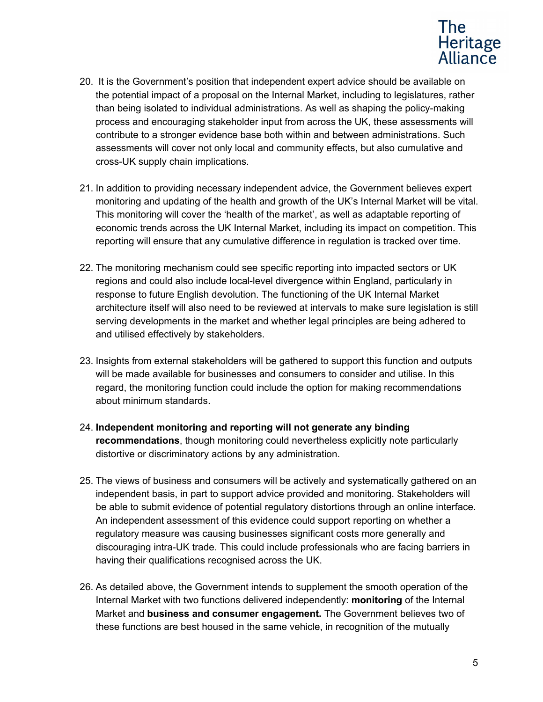

- 20. It is the Government's position that independent expert advice should be available on the potential impact of a proposal on the Internal Market, including to legislatures, rather than being isolated to individual administrations. As well as shaping the policy-making process and encouraging stakeholder input from across the UK, these assessments will contribute to a stronger evidence base both within and between administrations. Such assessments will cover not only local and community effects, but also cumulative and cross-UK supply chain implications.
- 21. In addition to providing necessary independent advice, the Government believes expert monitoring and updating of the health and growth of the UK's Internal Market will be vital. This monitoring will cover the 'health of the market', as well as adaptable reporting of economic trends across the UK Internal Market, including its impact on competition. This reporting will ensure that any cumulative difference in regulation is tracked over time.
- 22. The monitoring mechanism could see specific reporting into impacted sectors or UK regions and could also include local-level divergence within England, particularly in response to future English devolution. The functioning of the UK Internal Market architecture itself will also need to be reviewed at intervals to make sure legislation is still serving developments in the market and whether legal principles are being adhered to and utilised effectively by stakeholders.
- 23. Insights from external stakeholders will be gathered to support this function and outputs will be made available for businesses and consumers to consider and utilise. In this regard, the monitoring function could include the option for making recommendations about minimum standards.
- 24. **Independent monitoring and reporting will not generate any binding recommendations**, though monitoring could nevertheless explicitly note particularly distortive or discriminatory actions by any administration.
- 25. The views of business and consumers will be actively and systematically gathered on an independent basis, in part to support advice provided and monitoring. Stakeholders will be able to submit evidence of potential regulatory distortions through an online interface. An independent assessment of this evidence could support reporting on whether a regulatory measure was causing businesses significant costs more generally and discouraging intra-UK trade. This could include professionals who are facing barriers in having their qualifications recognised across the UK.
- 26. As detailed above, the Government intends to supplement the smooth operation of the Internal Market with two functions delivered independently: **monitoring** of the Internal Market and **business and consumer engagement.** The Government believes two of these functions are best housed in the same vehicle, in recognition of the mutually